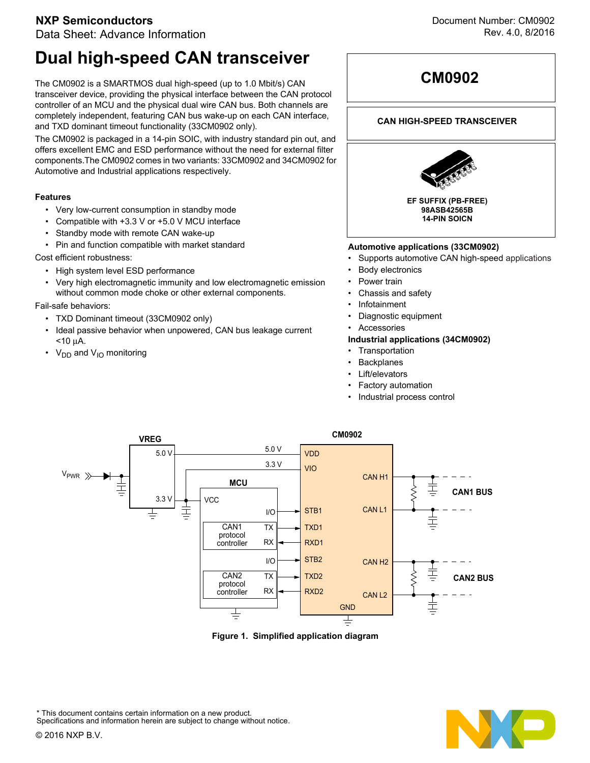### **NXP Semiconductors**

Data Sheet: Advance Information

# **Dual high-speed CAN transceiver**

The CM0902 is a SMARTMOS dual high-speed (up to 1.0 Mbit/s) CAN transceiver device, providing the physical interface between the CAN protocol controller of an MCU and the physical dual wire CAN bus. Both channels are completely independent, featuring CAN bus wake-up on each CAN interface, and TXD dominant timeout functionality (33CM0902 only).

The CM0902 is packaged in a 14-pin SOIC, with industry standard pin out, and offers excellent EMC and ESD performance without the need for external filter components.The CM0902 comes in two variants: 33CM0902 and 34CM0902 for Automotive and Industrial applications respectively.

### **Features**

- Very low-current consumption in standby mode
- Compatible with +3.3 V or +5.0 V MCU interface
- Standby mode with remote CAN wake-up
- Pin and function compatible with market standard

Cost efficient robustness:

- High system level ESD performance
- Very high electromagnetic immunity and low electromagnetic emission without common mode choke or other external components.

### Fail-safe behaviors:

- TXD Dominant timeout (33CM0902 only)
- Ideal passive behavior when unpowered, CAN bus leakage current <10 μA.
- $V_{DD}$  and  $V_{1O}$  monitoring

# **CM0902**

### **CAN HIGH-SPEED TRANSCEIVER**



### **Automotive applications (33CM0902)**

- Supports automotive CAN high-speed applications
- **Body electronics**
- Power train
- Chassis and safety
- Infotainment
- Diagnostic equipment
- Accessories

### **Industrial applications (34CM0902)**

- Transportation
- **Backplanes**
- Lift/elevators
- Factory automation
- Industrial process control



**Figure 1. Simplified application diagram**



This document contains certain information on a new product. Specifications and information herein are subject to change without notice.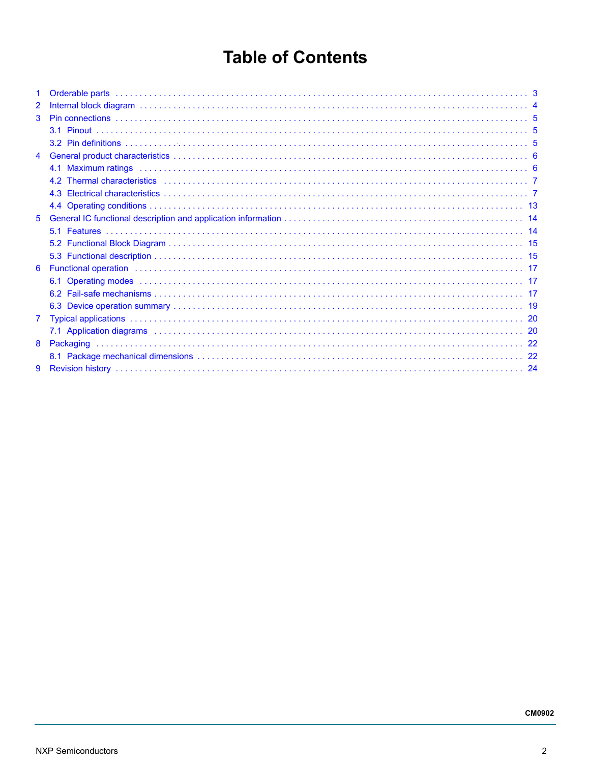# **Table of Contents**

| 1 |                                                                                                                                                                                                                                |  |
|---|--------------------------------------------------------------------------------------------------------------------------------------------------------------------------------------------------------------------------------|--|
| 2 |                                                                                                                                                                                                                                |  |
| 3 |                                                                                                                                                                                                                                |  |
|   |                                                                                                                                                                                                                                |  |
|   |                                                                                                                                                                                                                                |  |
| 4 |                                                                                                                                                                                                                                |  |
|   |                                                                                                                                                                                                                                |  |
|   |                                                                                                                                                                                                                                |  |
|   |                                                                                                                                                                                                                                |  |
|   |                                                                                                                                                                                                                                |  |
| 5 |                                                                                                                                                                                                                                |  |
|   |                                                                                                                                                                                                                                |  |
|   |                                                                                                                                                                                                                                |  |
|   |                                                                                                                                                                                                                                |  |
| 6 | Functional operation in the contract of the contract of the contract of the contract of the contract of the contract of the contract of the contract of the contract of the contract of the contract of the contract of the co |  |
|   |                                                                                                                                                                                                                                |  |
|   |                                                                                                                                                                                                                                |  |
|   |                                                                                                                                                                                                                                |  |
| 7 |                                                                                                                                                                                                                                |  |
|   |                                                                                                                                                                                                                                |  |
| 8 |                                                                                                                                                                                                                                |  |
|   |                                                                                                                                                                                                                                |  |
| 9 |                                                                                                                                                                                                                                |  |
|   |                                                                                                                                                                                                                                |  |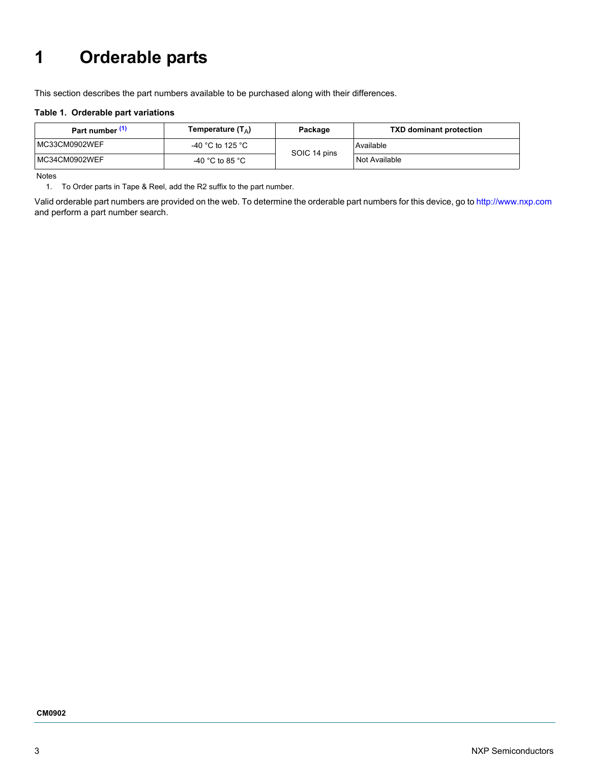# <span id="page-2-0"></span>**1 Orderable parts**

This section describes the part numbers available to be purchased along with their differences.

#### **Table 1. Orderable part variations**

| Part number (1) | Temperature (T <sub><math>\triangle</math></sub> ) | Package      | <b>TXD dominant protection</b> |
|-----------------|----------------------------------------------------|--------------|--------------------------------|
| MC33CM0902WEF   | -40 °C to 125 °C                                   | SOIC 14 pins | Available                      |
| MC34CM0902WEF   | -40 °C to 85 °C                                    |              | Not Available                  |

Notes

<span id="page-2-1"></span>1. To Order parts in Tape & Reel, add the R2 suffix to the part number.

Valid orderable part numbers are provided on the web. To determine the orderable part numbers for this device, go to [http://www.nxp.com](www.nxp.com) and perform a part number search.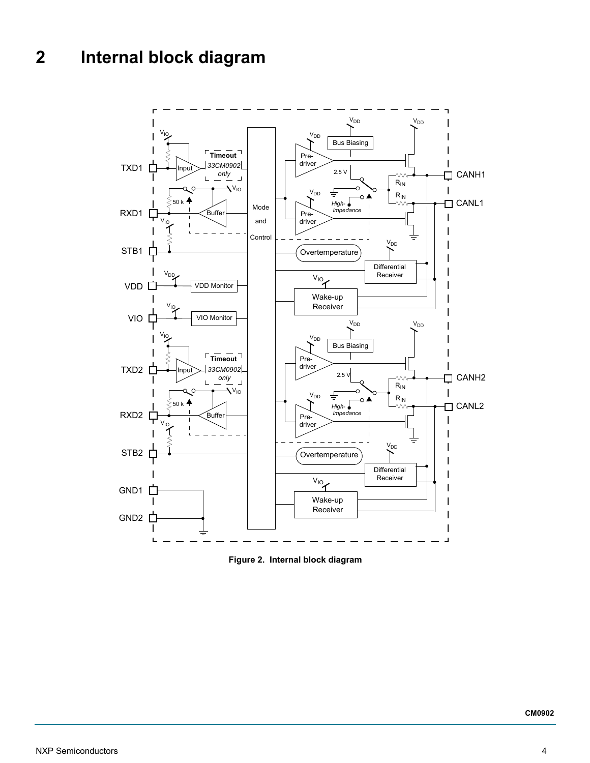# <span id="page-3-0"></span>**2 Internal block diagram**



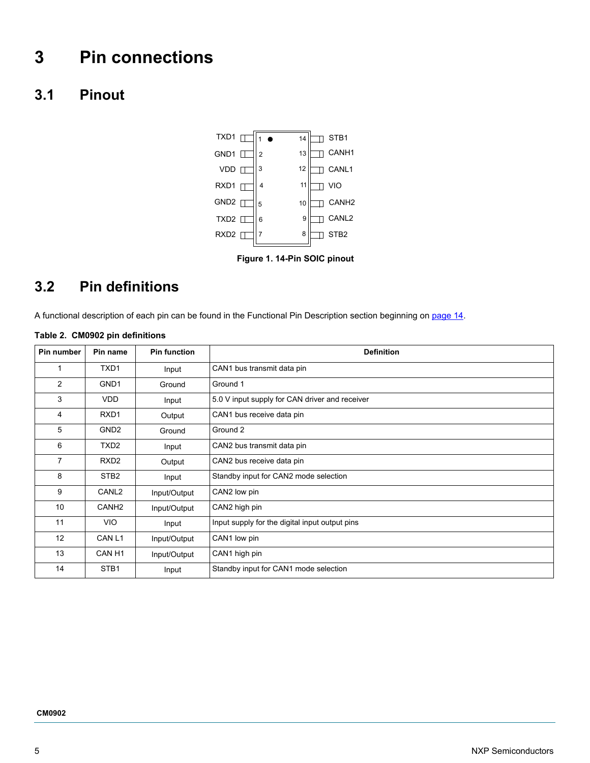# <span id="page-4-2"></span>**3 Pin connections**

## <span id="page-4-0"></span>**3.1 Pinout**



 **Figure 1. 14-Pin SOIC pinout**

# <span id="page-4-1"></span>**3.2 Pin definitions**

A functional description of each pin can be found in the Functional Pin Description section beginning on [page](#page-13-0) 14.

### **Table 2. CM0902 pin definitions**

| Pin number     | Pin name          | <b>Pin function</b> | <b>Definition</b>                              |
|----------------|-------------------|---------------------|------------------------------------------------|
| 1              | TXD <sub>1</sub>  | Input               | CAN1 bus transmit data pin                     |
| $\overline{2}$ | GND <sub>1</sub>  | Ground              | Ground 1                                       |
| 3              | <b>VDD</b>        | Input               | 5.0 V input supply for CAN driver and receiver |
| 4              | RXD <sub>1</sub>  | Output              | CAN1 bus receive data pin                      |
| 5              | GND <sub>2</sub>  | Ground              | Ground 2                                       |
| 6              | TXD <sub>2</sub>  | Input               | CAN2 bus transmit data pin                     |
| 7              | RXD <sub>2</sub>  | Output              | CAN2 bus receive data pin                      |
| 8              | STB <sub>2</sub>  | Input               | Standby input for CAN2 mode selection          |
| 9              | CANL <sub>2</sub> | Input/Output        | CAN2 low pin                                   |
| 10             | CANH <sub>2</sub> | Input/Output        | CAN2 high pin                                  |
| 11             | VIO.              | Input               | Input supply for the digital input output pins |
| 12             | CAN L1            | Input/Output        | CAN1 low pin                                   |
| 13             | CAN <sub>H1</sub> | Input/Output        | CAN1 high pin                                  |
| 14             | STB <sub>1</sub>  | Input               | Standby input for CAN1 mode selection          |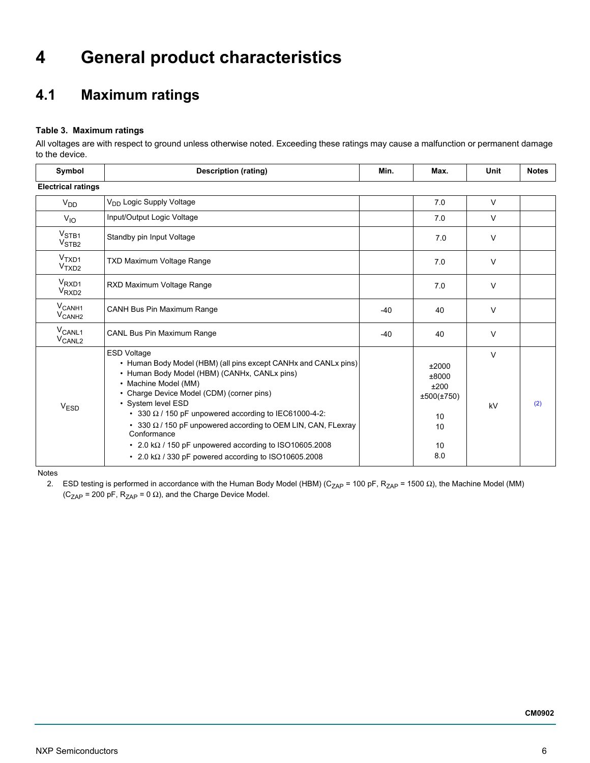# <span id="page-5-1"></span>**4 General product characteristics**

# <span id="page-5-0"></span>**4.1 Maximum ratings**

### **Table 3. Maximum ratings**

All voltages are with respect to ground unless otherwise noted. Exceeding these ratings may cause a malfunction or permanent damage to the device.

| Symbol                                     | <b>Description (rating)</b>                                                                                                                                                                                                                                                                                                                                                                                                                                                                                               | Min.  | Max.                                                          | Unit         | <b>Notes</b> |
|--------------------------------------------|---------------------------------------------------------------------------------------------------------------------------------------------------------------------------------------------------------------------------------------------------------------------------------------------------------------------------------------------------------------------------------------------------------------------------------------------------------------------------------------------------------------------------|-------|---------------------------------------------------------------|--------------|--------------|
| <b>Electrical ratings</b>                  |                                                                                                                                                                                                                                                                                                                                                                                                                                                                                                                           |       |                                                               |              |              |
| V <sub>DD</sub>                            | V <sub>DD</sub> Logic Supply Voltage                                                                                                                                                                                                                                                                                                                                                                                                                                                                                      |       | 7.0                                                           | $\vee$       |              |
| $V_{IO}$                                   | Input/Output Logic Voltage                                                                                                                                                                                                                                                                                                                                                                                                                                                                                                |       | 7.0                                                           | $\vee$       |              |
| V <sub>STB1</sub><br>V <sub>STB2</sub>     | Standby pin Input Voltage                                                                                                                                                                                                                                                                                                                                                                                                                                                                                                 |       | 7.0                                                           | $\vee$       |              |
| V <sub>TXD1</sub><br>V <sub>TXD2</sub>     | TXD Maximum Voltage Range                                                                                                                                                                                                                                                                                                                                                                                                                                                                                                 |       | 7.0                                                           | $\vee$       |              |
| V <sub>RXD1</sub><br>V <sub>RXD2</sub>     | RXD Maximum Voltage Range                                                                                                                                                                                                                                                                                                                                                                                                                                                                                                 |       | 7.0                                                           | $\vee$       |              |
| $V_{\mathsf{CANH1}}$<br>V <sub>CANH2</sub> | <b>CANH Bus Pin Maximum Range</b>                                                                                                                                                                                                                                                                                                                                                                                                                                                                                         | $-40$ | 40                                                            | $\vee$       |              |
| V <sub>CANL1</sub><br>V <sub>CANL2</sub>   | CANL Bus Pin Maximum Range                                                                                                                                                                                                                                                                                                                                                                                                                                                                                                | $-40$ | 40                                                            | $\vee$       |              |
| V <sub>ESD</sub>                           | <b>ESD Voltage</b><br>• Human Body Model (HBM) (all pins except CANHx and CANLx pins)<br>• Human Body Model (HBM) (CANHx, CANLx pins)<br>• Machine Model (MM)<br>• Charge Device Model (CDM) (corner pins)<br>• System level ESD<br>• 330 $\Omega$ / 150 pF unpowered according to IEC61000-4-2:<br>• 330 $\Omega$ / 150 pF unpowered according to OEM LIN, CAN, FLexray<br>Conformance<br>• 2.0 k $\Omega$ / 150 pF unpowered according to ISO10605.2008<br>• 2.0 k $\Omega$ / 330 pF powered according to ISO10605.2008 |       | ±2000<br>±8000<br>±200<br>±500(±750)<br>10<br>10<br>10<br>8.0 | $\vee$<br>kV | (2)          |

<span id="page-5-2"></span>Notes

2. ESD testing is performed in accordance with the Human Body Model (HBM) (C<sub>ZAP</sub> = 100 pF, R<sub>ZAP</sub> = 1500 Ω), the Machine Model (MM)  $(C_{ZAP} = 200 \text{ pF}, R_{ZAP} = 0 \Omega)$ , and the Charge Device Model.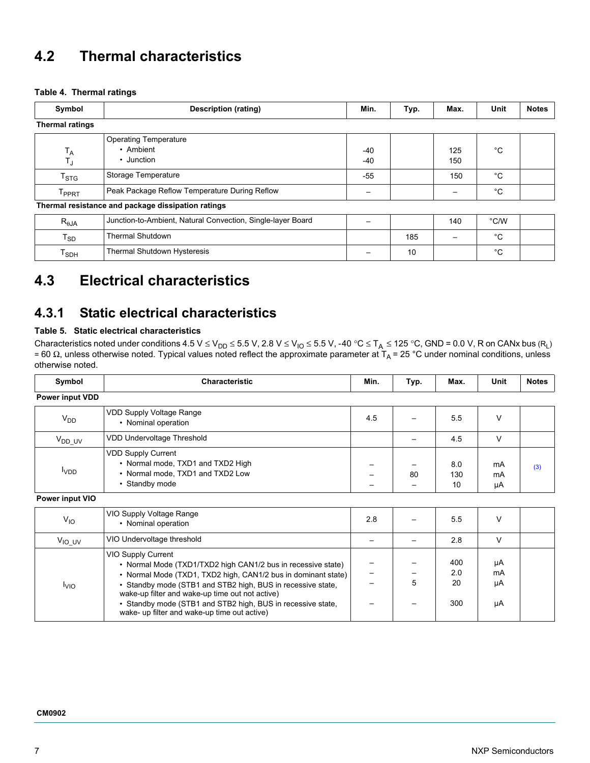## <span id="page-6-0"></span>**4.2 Thermal characteristics**

#### **Table 4. Thermal ratings**

| Symbol                     | Description (rating)                                        | Min.       | Typ. | Max.       | Unit          | <b>Notes</b> |
|----------------------------|-------------------------------------------------------------|------------|------|------------|---------------|--------------|
| <b>Thermal ratings</b>     |                                                             |            |      |            |               |              |
| $T_A$<br>$T_{\text{J}}$    | <b>Operating Temperature</b><br>• Ambient<br>• Junction     | -40<br>-40 |      | 125<br>150 | °С            |              |
| T <sub>STG</sub>           | Storage Temperature                                         | $-55$      |      | 150        | $^{\circ}C$   |              |
| T <sub>PPRT</sub>          | Peak Package Reflow Temperature During Reflow               |            |      |            | °C            |              |
|                            | Thermal resistance and package dissipation ratings          |            |      |            |               |              |
| $R_{\theta$ JA             | Junction-to-Ambient, Natural Convection, Single-layer Board |            |      | 140        | $\degree$ C/W |              |
| $\mathsf{T}_{\mathsf{SD}}$ | <b>Thermal Shutdown</b>                                     |            | 185  |            | $^{\circ}C$   |              |
| $T_{SDH}$                  | <b>Thermal Shutdown Hysteresis</b>                          |            | 10   |            | °С            |              |

# <span id="page-6-4"></span><span id="page-6-1"></span>**4.3 Electrical characteristics**

### **4.3.1 Static electrical characteristics**

### **Table 5. Static electrical characteristics**

Characteristics noted under conditions 4.5 V  $\leq$  V<sub>DD</sub>  $\leq$  5.5 V, 2.8 V  $\leq$  V<sub>IO</sub>  $\leq$  5.5 V, -40 °C  $\leq$  T<sub>A</sub>  $\leq$  125 °C, GND = 0.0 V, R on CANx bus (R<sub>L</sub>) = 60 Ω, unless otherwise noted. Typical values noted reflect the approximate parameter at T<sub>A</sub> = 25 °C under nominal conditions, unless otherwise noted.

<span id="page-6-3"></span><span id="page-6-2"></span>

| Symbol                 | <b>Characteristic</b>                                                                                                                                                                                                                                                                                                                                                                       | Min.            | Typ. | Max.                    | Unit                 | <b>Notes</b> |
|------------------------|---------------------------------------------------------------------------------------------------------------------------------------------------------------------------------------------------------------------------------------------------------------------------------------------------------------------------------------------------------------------------------------------|-----------------|------|-------------------------|----------------------|--------------|
| <b>Power input VDD</b> |                                                                                                                                                                                                                                                                                                                                                                                             |                 |      |                         |                      |              |
| $V_{DD}$               | VDD Supply Voltage Range<br>• Nominal operation                                                                                                                                                                                                                                                                                                                                             | 4.5             |      | 5.5                     | V                    |              |
| $V_{DD\_UV}$           | VDD Undervoltage Threshold                                                                                                                                                                                                                                                                                                                                                                  |                 |      | 4.5                     | $\vee$               |              |
| <b>V<sub>DD</sub></b>  | <b>VDD Supply Current</b><br>• Normal mode, TXD1 and TXD2 High<br>• Normal mode, TXD1 and TXD2 Low<br>• Standby mode                                                                                                                                                                                                                                                                        |                 | 80   | 8.0<br>130<br>10        | mA<br>mA<br>μA       | (3)          |
| Power input VIO        |                                                                                                                                                                                                                                                                                                                                                                                             |                 |      |                         |                      |              |
| $V_{IO}$               | VIO Supply Voltage Range<br>• Nominal operation                                                                                                                                                                                                                                                                                                                                             | 2.8             |      | 5.5                     | $\vee$               |              |
| $V_{IO\_UV}$           | VIO Undervoltage threshold                                                                                                                                                                                                                                                                                                                                                                  | $\qquad \qquad$ |      | 2.8                     | $\vee$               |              |
| $I_{\text{VIO}}$       | <b>VIO Supply Current</b><br>• Normal Mode (TXD1/TXD2 high CAN1/2 bus in recessive state)<br>• Normal Mode (TXD1, TXD2 high, CAN1/2 bus in dominant state)<br>• Standby mode (STB1 and STB2 high, BUS in recessive state,<br>wake-up filter and wake-up time out not active)<br>• Standby mode (STB1 and STB2 high, BUS in recessive state,<br>wake- up filter and wake-up time out active) | -               | 5    | 400<br>2.0<br>20<br>300 | μA<br>mA<br>μA<br>μA |              |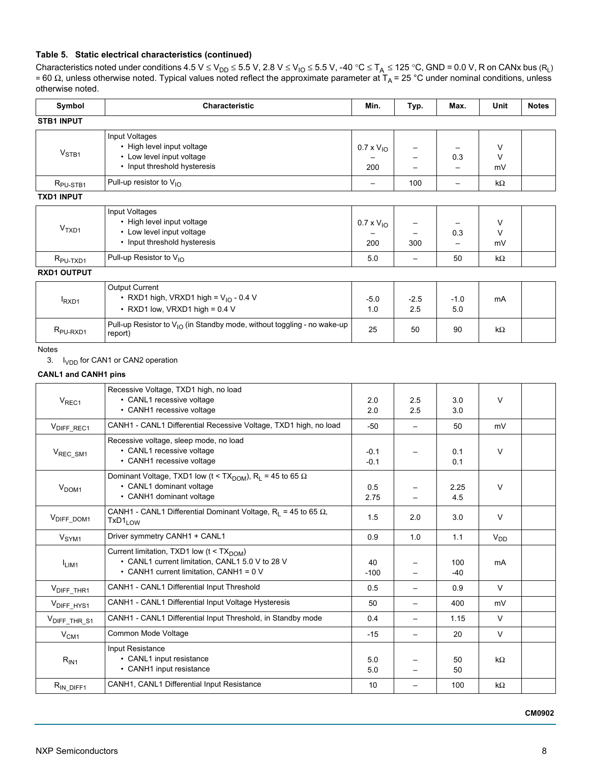### **Table 5. Static electrical characteristics (continued)**

Characteristics noted under conditions 4.5 V  $\leq$  V<sub>DD</sub>  $\leq$  5.5 V, 2.8 V  $\leq$  V<sub>IO</sub>  $\leq$  5.5 V, -40 °C  $\leq$  T<sub>A</sub>  $\leq$  125 °C, GND = 0.0 V, R on CANx bus (R<sub>L</sub>) = 60 Ω, unless otherwise noted. Typical values noted reflect the approximate parameter at T<sub>A</sub> = 25 °C under nominal conditions, unless otherwise noted.

<span id="page-7-1"></span><span id="page-7-0"></span>

| Symbol                            | Characteristic                                                                                                                                      | Min.                       | Typ.                              | Max.              | Unit            | <b>Notes</b> |
|-----------------------------------|-----------------------------------------------------------------------------------------------------------------------------------------------------|----------------------------|-----------------------------------|-------------------|-----------------|--------------|
| <b>STB1 INPUT</b>                 |                                                                                                                                                     |                            |                                   |                   |                 |              |
| $V_{STB1}$                        | Input Voltages<br>• High level input voltage<br>• Low level input voltage<br>• Input threshold hysteresis                                           | $0.7 \times V_{10}$<br>200 |                                   | 0.3               | V<br>V<br>mV    |              |
| R <sub>PU-STB1</sub>              | Pull-up resistor to V <sub>IO</sub>                                                                                                                 | $\qquad \qquad -$          | 100                               | $\qquad \qquad -$ | $k\Omega$       |              |
| <b>TXD1 INPUT</b>                 |                                                                                                                                                     |                            |                                   |                   |                 |              |
| V <sub>TXD1</sub>                 | Input Voltages<br>• High level input voltage<br>• Low level input voltage<br>• Input threshold hysteresis                                           | $0.7 \times V_{10}$<br>200 | 300                               | 0.3               | V<br>V<br>mV    |              |
| R <sub>PU-TXD1</sub>              | Pull-up Resistor to V <sub>IO</sub>                                                                                                                 | 5.0                        | $\overline{\phantom{m}}$          | 50                | $k\Omega$       |              |
| <b>RXD1 OUTPUT</b>                |                                                                                                                                                     |                            |                                   |                   |                 |              |
| $I_{\rm RXD1}$                    | Output Current<br>• RXD1 high, VRXD1 high = $V_{1O}$ - 0.4 V<br>• RXD1 low, VRXD1 high = $0.4$ V                                                    | $-5.0$<br>1.0              | $-2.5$<br>2.5                     | $-1.0$<br>5.0     | mA              |              |
| R <sub>PU-RXD1</sub>              | Pull-up Resistor to $V_{1O}$ (in Standby mode, without toggling - no wake-up<br>report)                                                             | 25                         | 50                                | 90                | $k\Omega$       |              |
| 3.<br><b>CANL1 and CANH1 pins</b> | I <sub>VDD</sub> for CAN1 or CAN2 operation                                                                                                         |                            |                                   |                   |                 |              |
| V <sub>REC1</sub>                 | Recessive Voltage, TXD1 high, no load<br>• CANL1 recessive voltage<br>• CANH1 recessive voltage                                                     | 2.0<br>2.0                 | 2.5<br>2.5                        | 3.0<br>3.0        | V               |              |
| V <sub>DIFF_REC1</sub>            | CANH1 - CANL1 Differential Recessive Voltage, TXD1 high, no load                                                                                    | -50                        | $\overline{\phantom{m}}$          | 50                | mV              |              |
| V <sub>REC_SM1</sub>              | Recessive voltage, sleep mode, no load<br>• CANL1 recessive voltage<br>• CANH1 recessive voltage                                                    | $-0.1$<br>$-0.1$           |                                   | 0.1<br>0.1        | $\vee$          |              |
| V <sub>DOM1</sub>                 | Dominant Voltage, TXD1 low (t < TX <sub>DOM</sub> ), R <sub>L</sub> = 45 to 65 $\Omega$<br>• CANL1 dominant voltage<br>• CANH1 dominant voltage     | 0.5<br>2.75                |                                   | 2.25<br>4.5       | V               |              |
| VDIFF_DOM1                        | CANH1 - CANL1 Differential Dominant Voltage, $R_L$ = 45 to 65 $\Omega$ ,<br>TxD1 <sub>LOW</sub>                                                     | 1.5                        | 2.0                               | 3.0               | V               |              |
| V <sub>SYM1</sub>                 | Driver symmetry CANH1 + CANL1                                                                                                                       | 0.9                        | 1.0                               | 1.1               | V <sub>DD</sub> |              |
| I <sub>LIM1</sub>                 | Current limitation, TXD1 low (t < TX <sub>DOM</sub> )<br>• CANL1 current limitation, CANL1 5.0 V to 28 V<br>• CANH1 current limitation, CANH1 = 0 V | 40<br>$-100$               |                                   | 100<br>-40        | mA              |              |
| V <sub>DIFF_THR1</sub>            | CANH1 - CANL1 Differential Input Threshold                                                                                                          | 0.5                        | $\overbrace{\phantom{123221111}}$ | 0.9               | V               |              |
| V <sub>DIFF_HYS1</sub>            | CANH1 - CANL1 Differential Input Voltage Hysteresis                                                                                                 | 50                         | $\qquad \qquad -$                 | 400               | mV              |              |
| V <sub>DIFF_THR_S1</sub>          | CANH1 - CANL1 Differential Input Threshold, in Standby mode                                                                                         | 0.4                        | —                                 | 1.15              | V               |              |
| V <sub>CM1</sub>                  | Common Mode Voltage                                                                                                                                 | $-15$                      | $\qquad \qquad -$                 | 20                | V               |              |
|                                   | Input Resistance                                                                                                                                    |                            |                                   |                   |                 |              |

 $R_{IN\;DIF1}$  CANH1, CANL1 Differential Input Resistance 10 10 - 100 kΩ

5.0 5.0

– – 50 50 kΩ

<span id="page-7-3"></span> ${\sf R}_{\sf IN1}$ 

<span id="page-7-2"></span>• CANL1 input resistance • CANH1 input resistance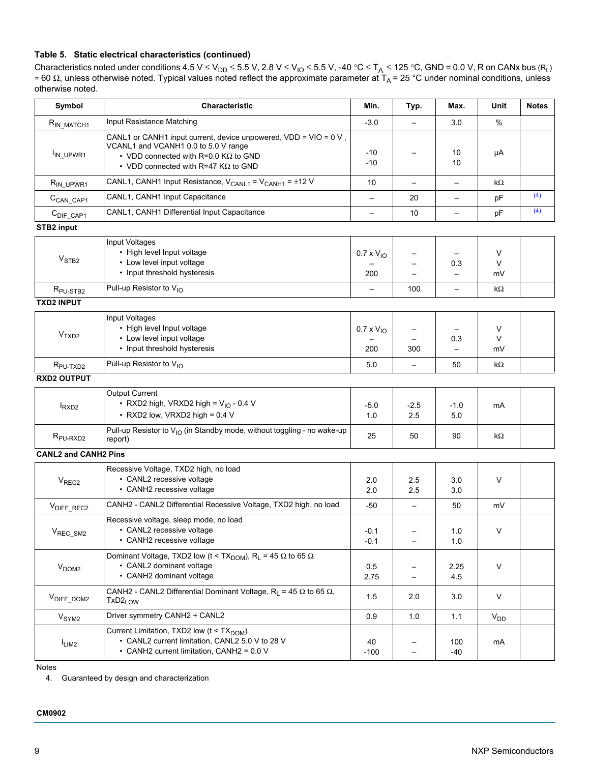### **Table 5. Static electrical characteristics (continued)**

Characteristics noted under conditions 4.5 V  $\leq$  V<sub>DD</sub>  $\leq$  5.5 V, 2.8 V  $\leq$  V<sub>IO</sub>  $\leq$  5.5 V, -40 °C  $\leq$  T<sub>A</sub>  $\leq$  125 °C, GND = 0.0 V, R on CANx bus (R<sub>L</sub>) = 60 Ω, unless otherwise noted. Typical values noted reflect the approximate parameter at T<sub>A</sub> = 25 °C under nominal conditions, unless otherwise noted.

| Symbol                      | <b>Characteristic</b>                                                                                                                                                                                   | Min.                       | Typ.                     | Max.                     | Unit         | <b>Notes</b> |
|-----------------------------|---------------------------------------------------------------------------------------------------------------------------------------------------------------------------------------------------------|----------------------------|--------------------------|--------------------------|--------------|--------------|
| RIN_MATCH1                  | Input Resistance Matching                                                                                                                                                                               | $-3.0$                     | $\overline{\phantom{0}}$ | 3.0                      | $\%$         |              |
| I <sub>IN_UPWR1</sub>       | CANL1 or CANH1 input current, device unpowered, VDD = VIO = 0 V,<br>VCANL1 and VCANH1 0.0 to 5.0 V range<br>• VDD connected with R=0.0 K $\Omega$ to GND<br>• VDD connected with R=47 K $\Omega$ to GND | $-10$<br>$-10$             |                          | 10<br>10                 | μA           |              |
| R <sub>IN_UPWR1</sub>       | CANL1, CANH1 Input Resistance, $V_{CANL1} = V_{CANH1} = \pm 12 V$                                                                                                                                       | 10                         | $\overline{\phantom{0}}$ | $\overline{\phantom{0}}$ | kΩ           |              |
| C <sub>CAN</sub> CAP1       | CANL1, CANH1 Input Capacitance                                                                                                                                                                          | $\overline{\phantom{0}}$   | 20                       | $\overline{\phantom{a}}$ | pF           | (4)          |
| $CDIFF_CAP1$                | CANL1, CANH1 Differential Input Capacitance                                                                                                                                                             | $\overline{\phantom{0}}$   | 10                       | $\qquad \qquad -$        | pF           | (4)          |
| STB2 input                  |                                                                                                                                                                                                         |                            |                          |                          |              |              |
| V <sub>STB2</sub>           | Input Voltages<br>• High level Input voltage<br>• Low level input voltage<br>• Input threshold hysteresis                                                                                               | $0.7 \times V_{10}$<br>200 |                          | 0.3                      | V<br>V<br>mV |              |
| R <sub>PU-STB2</sub>        | Pull-up Resistor to V <sub>IO</sub>                                                                                                                                                                     |                            | 100                      | $\overline{\phantom{0}}$ | kΩ           |              |
| <b>TXD2 INPUT</b>           |                                                                                                                                                                                                         |                            |                          |                          |              |              |
| V <sub>TXD2</sub>           | Input Voltages<br>• High level Input voltage<br>• Low level input voltage<br>• Input threshold hysteresis                                                                                               | $0.7 \times V_{10}$<br>200 | 300                      | 0.3                      | V<br>V<br>mV |              |
| R <sub>PU-TXD2</sub>        | Pull-up Resistor to $V_{1O}$                                                                                                                                                                            | 5.0                        | $\overline{\phantom{0}}$ | 50                       | kΩ           |              |
| <b>RXD2 OUTPUT</b>          |                                                                                                                                                                                                         |                            |                          |                          |              |              |
| $I_{RXD2}$                  | <b>Output Current</b><br>• RXD2 high, VRXD2 high = $V_{10}$ - 0.4 V<br>• RXD2 low, VRXD2 high = $0.4$ V                                                                                                 | $-5.0$<br>1.0              | $-2.5$<br>2.5            | $-1.0$<br>5.0            | mA           |              |
| R <sub>PU-RXD2</sub>        | Pull-up Resistor to $V_{1O}$ (in Standby mode, without toggling - no wake-up<br>report)                                                                                                                 | 25                         | 50                       | 90                       | kΩ           |              |
| <b>CANL2 and CANH2 Pins</b> |                                                                                                                                                                                                         |                            |                          |                          |              |              |
| V <sub>REC2</sub>           | Recessive Voltage, TXD2 high, no load<br>• CANL2 recessive voltage<br>• CANH2 recessive voltage                                                                                                         | 2.0<br>2.0                 | 2.5<br>2.5               | 3.0<br>3.0               | V            |              |
| V <sub>DIFF_REC2</sub>      | CANH2 - CANL2 Differential Recessive Voltage, TXD2 high, no load                                                                                                                                        | $-50$                      |                          | 50                       | mV           |              |
| $V_{REC\_SM2}$              | Recessive voltage, sleep mode, no load<br>• CANL2 recessive voltage<br>• CANH2 recessive voltage                                                                                                        | $-0.1$<br>$-0.1$           |                          | 1.0<br>1.0               | V            |              |
| V <sub>DOM2</sub>           | Dominant Voltage, TXD2 low (t < TX <sub>DOM</sub> ), R <sub>L</sub> = 45 $\Omega$ to 65 $\Omega$<br>• CANL2 dominant voltage<br>• CANH2 dominant voltage                                                | 0.5<br>2.75                |                          | 2.25<br>4.5              | V            |              |
| V <sub>DIFF_DOM2</sub>      | CANH2 - CANL2 Differential Dominant Voltage, R <sub>L</sub> = 45 $\Omega$ to 65 $\Omega$ ,<br>TxD2 <sub>LOW</sub>                                                                                       | 1.5                        | 2.0                      | 3.0                      | V            |              |
| V <sub>SYM2</sub>           | Driver symmetry CANH2 + CANL2                                                                                                                                                                           | 0.9                        | 1.0                      | 1.1                      | $V_{DD}$     |              |
| $I_{LIM2}$                  | Current Limitation, TXD2 low (t < TX <sub>DOM</sub> )<br>• CANL2 current limitation, CANL2 5.0 V to 28 V<br>• CANH2 current limitation, CANH2 = 0.0 V                                                   | 40<br>$-100$               | $\overline{\phantom{0}}$ | 100<br>-40               | mA           |              |

Notes

<span id="page-8-0"></span>4. Guaranteed by design and characterization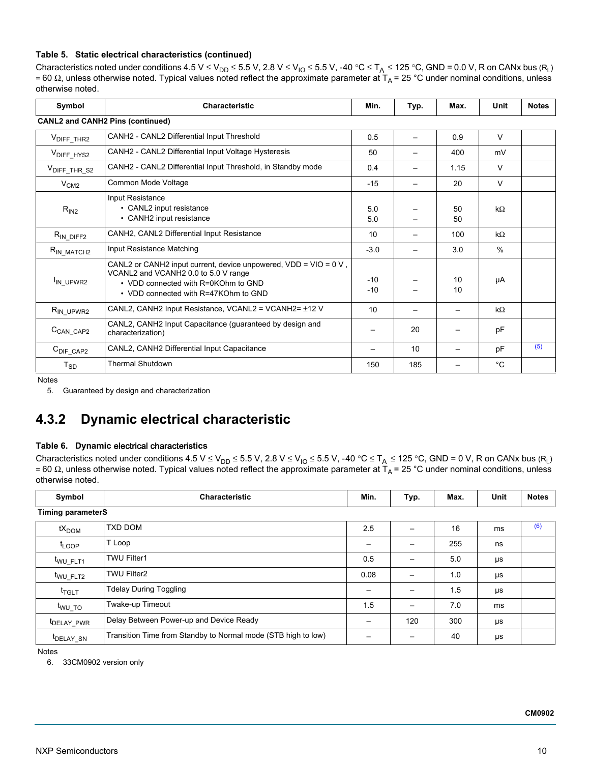#### **Table 5. Static electrical characteristics (continued)**

Characteristics noted under conditions 4.5 V  $\leq$  V<sub>DD</sub>  $\leq$  5.5 V, 2.8 V  $\leq$  V<sub>IO</sub>  $\leq$  5.5 V, -40 °C  $\leq$  T<sub>A</sub>  $\leq$  125 °C, GND = 0.0 V, R on CANx bus (R<sub>L</sub>) = 60 Ω, unless otherwise noted. Typical values noted reflect the approximate parameter at T<sub>A</sub> = 25 °C under nominal conditions, unless otherwise noted.

| Symbol                        | <b>Characteristic</b>                                                                                                                                                                      | Min.            | Typ. | Max.     | Unit      | <b>Notes</b> |
|-------------------------------|--------------------------------------------------------------------------------------------------------------------------------------------------------------------------------------------|-----------------|------|----------|-----------|--------------|
|                               | <b>CANL2 and CANH2 Pins (continued)</b>                                                                                                                                                    |                 |      |          |           |              |
| V <sub>DIFF</sub> _THR2       | CANH2 - CANL2 Differential Input Threshold                                                                                                                                                 | 0.5             |      | 0.9      | V         |              |
| V <sub>DIFF_HYS2</sub>        | CANH2 - CANL2 Differential Input Voltage Hysteresis                                                                                                                                        | 50              |      | 400      | mV        |              |
| V <sub>DIFF_THR_S2</sub>      | CANH2 - CANL2 Differential Input Threshold, in Standby mode                                                                                                                                | 0.4             |      | 1.15     | $\vee$    |              |
| V <sub>CM2</sub>              | Common Mode Voltage                                                                                                                                                                        | $-15$           |      | 20       | $\vee$    |              |
| $R_{IN2}$                     | <b>Input Resistance</b><br>• CANL2 input resistance<br>• CANH2 input resistance                                                                                                            | 5.0<br>5.0      |      | 50<br>50 | $k\Omega$ |              |
| $R_{IN\_DIFF2}$               | CANH2, CANL2 Differential Input Resistance                                                                                                                                                 | 10              |      | 100      | kΩ        |              |
| $R_{IN\_MATCH2}$              | Input Resistance Matching                                                                                                                                                                  | $-3.0$          |      | 3.0      | %         |              |
| I <sub>IN</sub> UPWR2         | CANL2 or CANH2 input current, device unpowered, $VDD = VIO = 0 V$ ,<br>VCANL2 and VCANH2 0.0 to 5.0 V range<br>• VDD connected with R=0KOhm to GND<br>• VDD connected with R=47KOhm to GND | $-10$<br>$-10$  |      | 10<br>10 | μA        |              |
| $R_{IN_UPPWR2}$               | CANL2, CANH2 Input Resistance, VCANL2 = VCANH2= $\pm$ 12 V                                                                                                                                 | 10              |      |          | $k\Omega$ |              |
| C <sub>CAN_CAP2</sub>         | CANL2, CANH2 Input Capacitance (guaranteed by design and<br>characterization)                                                                                                              |                 | 20   |          | pF        |              |
| $C_{\text{DIF}\_\text{CAP2}}$ | CANL2, CANH2 Differential Input Capacitance                                                                                                                                                | $\qquad \qquad$ | 10   |          | pF        | (5)          |
| $T_{SD}$                      | <b>Thermal Shutdown</b>                                                                                                                                                                    | 150             | 185  |          | °C        |              |

Notes

<span id="page-9-0"></span>5. Guaranteed by design and characterization

### **4.3.2 Dynamic electrical characteristic**

#### **Table 6. Dynamic** electrical characteris**tics**

Characteristics noted under conditions 4.5 V ≤ V<sub>DD</sub> ≤ 5.5 V, 2.8 V ≤ V<sub>IO</sub> ≤ 5.5 V, -40 °C ≤ T<sub>A</sub> ≤ 125 °C, GND = 0 V, R on CANx bus (R<sub>L</sub>) = 60 Ω, unless otherwise noted. Typical values noted reflect the approximate parameter at T<sub>A</sub> = 25 °C under nominal conditions, unless otherwise noted.

<span id="page-9-5"></span><span id="page-9-4"></span><span id="page-9-2"></span>

| Symbol                   | <b>Characteristic</b>                                         | Min.                     | Typ. | Max. | Unit | <b>Notes</b> |
|--------------------------|---------------------------------------------------------------|--------------------------|------|------|------|--------------|
| <b>Timing parameterS</b> |                                                               |                          |      |      |      |              |
| $tX_{DOM}$               | TXD DOM                                                       | 2.5                      |      | 16   | ms   | (6)          |
| $t_{\text{LOOP}}$        | T Loop                                                        |                          |      | 255  | ns   |              |
| t <sub>WU FLT1</sub>     | <b>TWU Filter1</b>                                            | 0.5                      |      | 5.0  | μs   |              |
| t <sub>WU_FLT2</sub>     | <b>TWU Filter2</b>                                            | 0.08                     |      | 1.0  | μs   |              |
| t <sub>TGLT</sub>        | <b>Tdelay During Toggling</b>                                 |                          |      | 1.5  | μs   |              |
| t <sub>wu_TO</sub>       | Twake-up Timeout                                              | 1.5                      |      | 7.0  | ms   |              |
| <sup>t</sup> DELAY PWR   | Delay Between Power-up and Device Ready                       | $\overline{\phantom{0}}$ | 120  | 300  | μs   |              |
| <sup>I</sup> DELAY SN    | Transition Time from Standby to Normal mode (STB high to low) |                          |      | 40   | μs   |              |

<span id="page-9-6"></span><span id="page-9-3"></span><span id="page-9-1"></span>Notes

6. 33CM0902 version only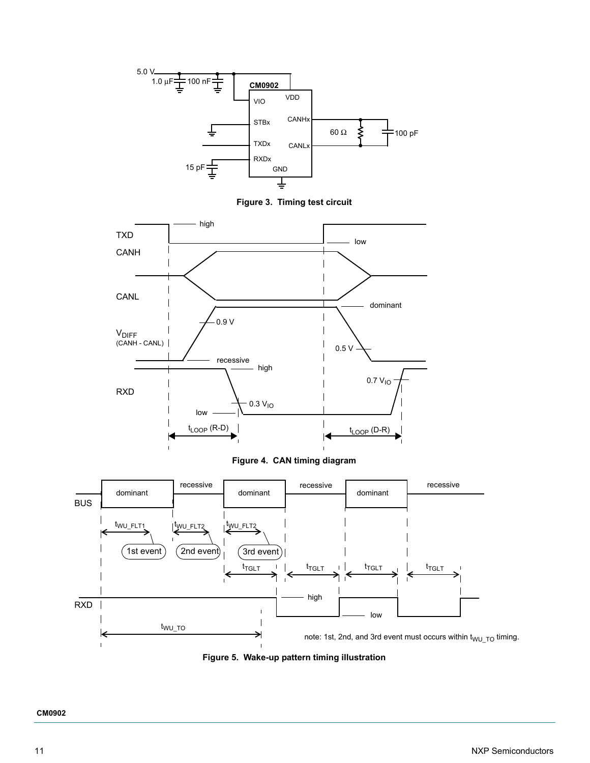

**Figure 3. Timing test circuit**



**Figure 4. CAN timing diagram**



<span id="page-10-0"></span>**Figure 5. Wake-up pattern timing illustration**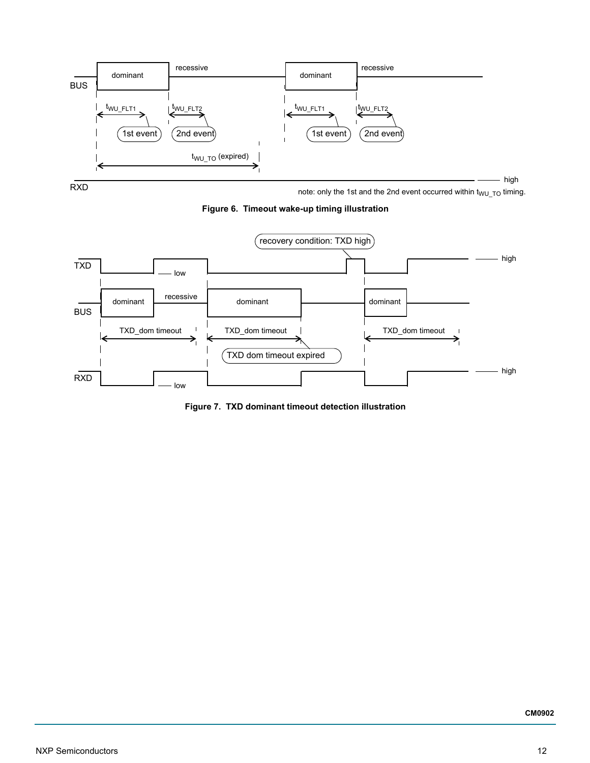

note: only the 1st and the 2nd event occurred within  $t_{WU\_TO}$  timing.

**Figure 6. Timeout wake-up timing illustration**

<span id="page-11-0"></span>

<span id="page-11-1"></span>**Figure 7. TXD dominant timeout detection illustration**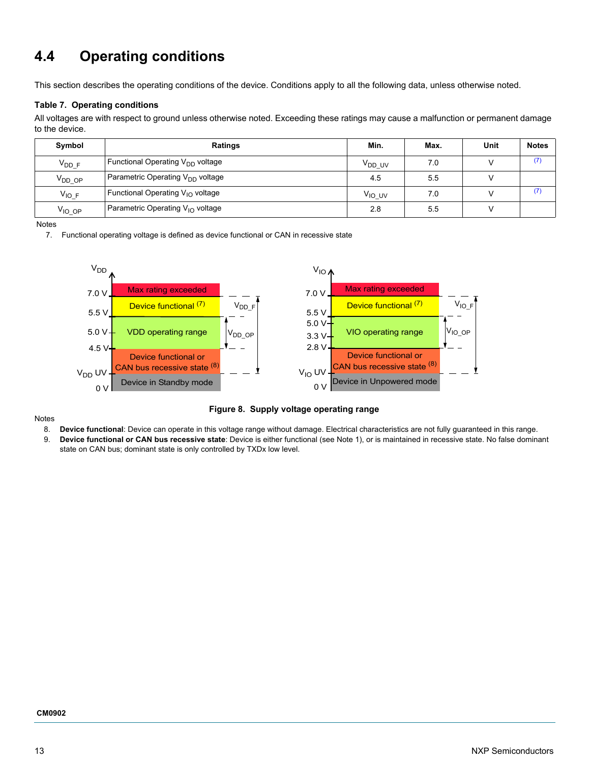# <span id="page-12-0"></span>**4.4 Operating conditions**

This section describes the operating conditions of the device. Conditions apply to all the following data, unless otherwise noted.

### **Table 7. Operating conditions**

All voltages are with respect to ground unless otherwise noted. Exceeding these ratings may cause a malfunction or permanent damage to the device.

| Symbol      | Ratings                                      | Min.               | Max. | Unit | <b>Notes</b> |
|-------------|----------------------------------------------|--------------------|------|------|--------------|
| $V_{DDF}$   | Functional Operating $V_{DD}$ voltage        | V <sub>DD</sub> UV | 7.0  |      | (7)          |
| $V_{DD,OP}$ | Parametric Operating $V_{DD}$ voltage        | 4.5                | 5.5  |      |              |
| $V_{IO,F}$  | Functional Operating V <sub>IO</sub> voltage | V <sub>IO UV</sub> | 7.0  |      | (7           |
| $V_{IO}$ op | Parametric Operating $V_{1O}$ voltage        | 2.8                | 5.5  |      |              |

<span id="page-12-1"></span>Notes

7. Functional operating voltage is defined as device functional or CAN in recessive state



#### Notes

<span id="page-12-3"></span><span id="page-12-2"></span>**Figure 8. Supply voltage operating range**

- 8. **Device functional**: Device can operate in this voltage range without damage. Electrical characteristics are not fully guaranteed in this range.
- 9. **Device functional or CAN bus recessive state**: Device is either functional (see Note 1), or is maintained in recessive state. No false dominant state on CAN bus; dominant state is only controlled by TXDx low level.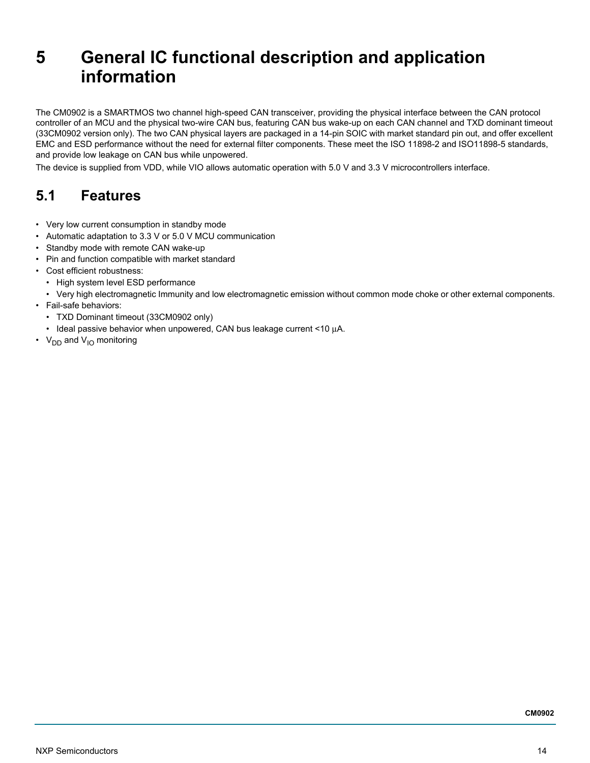# <span id="page-13-0"></span>**5 General IC functional description and application information**

The CM0902 is a SMARTMOS two channel high-speed CAN transceiver, providing the physical interface between the CAN protocol controller of an MCU and the physical two-wire CAN bus, featuring CAN bus wake-up on each CAN channel and TXD dominant timeout (33CM0902 version only). The two CAN physical layers are packaged in a 14-pin SOIC with market standard pin out, and offer excellent EMC and ESD performance without the need for external filter components. These meet the ISO 11898-2 and ISO11898-5 standards, and provide low leakage on CAN bus while unpowered.

The device is supplied from VDD, while VIO allows automatic operation with 5.0 V and 3.3 V microcontrollers interface.

## <span id="page-13-1"></span>**5.1 Features**

- Very low current consumption in standby mode
- Automatic adaptation to 3.3 V or 5.0 V MCU communication
- Standby mode with remote CAN wake-up
- Pin and function compatible with market standard
- Cost efficient robustness:
	- High system level ESD performance
	- Very high electromagnetic Immunity and low electromagnetic emission without common mode choke or other external components.
- Fail-safe behaviors:
	- TXD Dominant timeout (33CM0902 only)
	- Ideal passive behavior when unpowered, CAN bus leakage current <10 μA.
- $V_{DD}$  and  $V_{1O}$  monitoring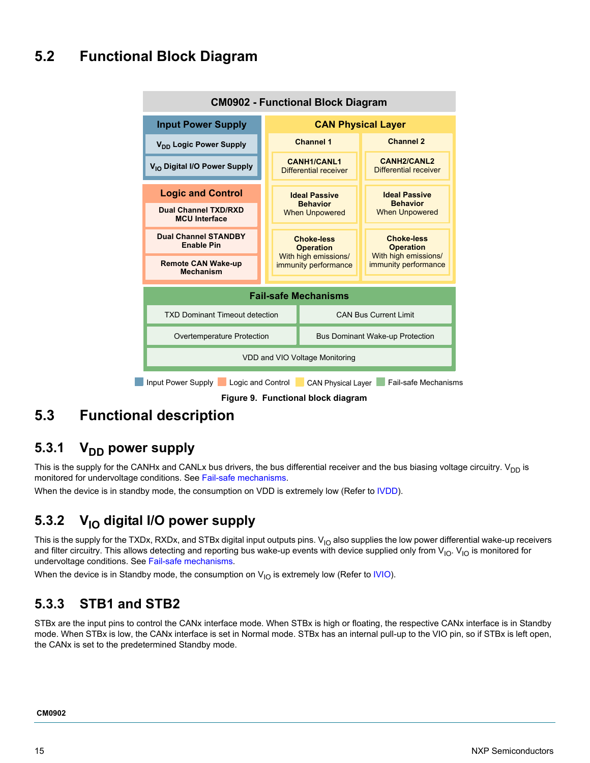# <span id="page-14-0"></span>**5.2 Functional Block Diagram**



## <span id="page-14-1"></span>**5.3 Functional description**

### 5.3.1 V<sub>DD</sub> power supply

This is the supply for the CANHx and CANLx bus drivers, the bus differential receiver and the bus biasing voltage circuitry.  $V_{DD}$  is monitored for undervoltage conditions. See [Fail-safe mechanisms](#page-16-1).

When the device is in standby mode, the consumption on VDD is extremely low (Refer to [IVDD\)](#page-6-2).

### 5.3.2 V<sub>IO</sub> digital I/O power supply

This is the supply for the TXDx, RXDx, and STBx digital input outputs pins.  $V<sub>IO</sub>$  also supplies the low power differential wake-up receivers and filter circuitry. This allows detecting and reporting bus wake-up events with device supplied only from  $V_{10}$ .  $V_{10}$  is monitored for undervoltage conditions. See [Fail-safe mechanisms.](#page-16-1)

When the device is in Standby mode, the consumption on  $V_{1O}$  is extremely low (Refer to [IVIO\)](#page-6-3).

### **5.3.3 STB1 and STB2**

STBx are the input pins to control the CANx interface mode. When STBx is high or floating, the respective CANx interface is in Standby mode. When STBx is low, the CANx interface is set in Normal mode. STBx has an internal pull-up to the VIO pin, so if STBx is left open, the CANx is set to the predetermined Standby mode.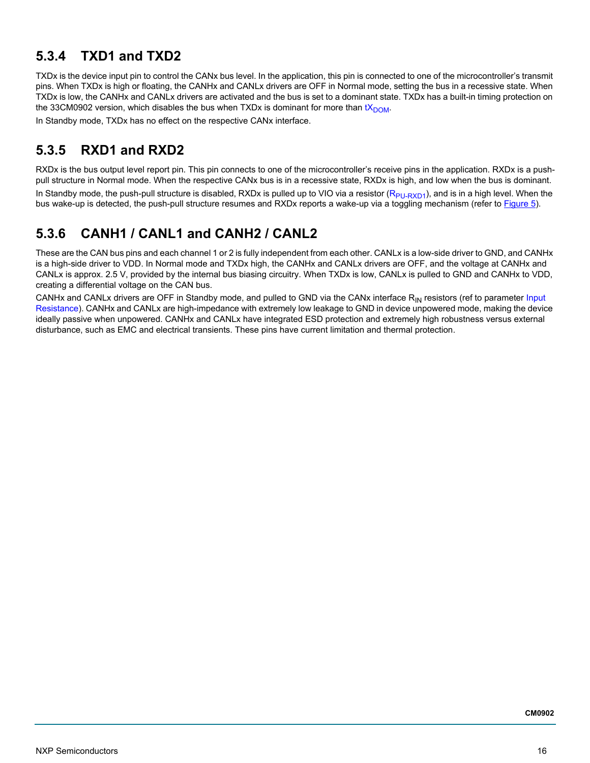## **5.3.4 TXD1 and TXD2**

TXDx is the device input pin to control the CANx bus level. In the application, this pin is connected to one of the microcontroller's transmit pins. When TXDx is high or floating, the CANHx and CANLx drivers are OFF in Normal mode, setting the bus in a recessive state. When TXDx is low, the CANHx and CANLx drivers are activated and the bus is set to a dominant state. TXDx has a built-in timing protection on the 33CM0902 version, which disables the bus when TXDx is dominant for more than  $tX_{DOM}$ .

In Standby mode, TXDx has no effect on the respective CANx interface.

### **5.3.5 RXD1 and RXD2**

RXDx is the bus output level report pin. This pin connects to one of the microcontroller's receive pins in the application. RXDx is a pushpull structure in Normal mode. When the respective CANx bus is in a recessive state, RXDx is high, and low when the bus is dominant. In Standby mode, the push-pull structure is disabled, RXDx is pulled up to VIO via a resistor  $(R_{PU-RXD1})$ , and is in a high level. When the bus wake-up is detected, the push-pull structure resumes and RXDx reports a wake-up via a toggling mechanism (refer to [Figure](#page-10-0) 5).

## **5.3.6 CANH1 / CANL1 and CANH2 / CANL2**

These are the CAN bus pins and each channel 1 or 2 is fully independent from each other. CANLx is a low-side driver to GND, and CANHx is a high-side driver to VDD. In Normal mode and TXDx high, the CANHx and CANLx drivers are OFF, and the voltage at CANHx and CANLx is approx. 2.5 V, provided by the internal bus biasing circuitry. When TXDx is low, CANLx is pulled to GND and CANHx to VDD, creating a differential voltage on the CAN bus.

CANHx and CANLx drivers are OFF in Standby mode, and pulled to GND via the CANx interface R<sub>IN</sub> resistors (ref to parameter Input [Resistance\)](#page-7-2). CANHx and CANLx are high-impedance with extremely low leakage to GND in device unpowered mode, making the device ideally passive when unpowered. CANHx and CANLx have integrated ESD protection and extremely high robustness versus external disturbance, such as EMC and electrical transients. These pins have current limitation and thermal protection.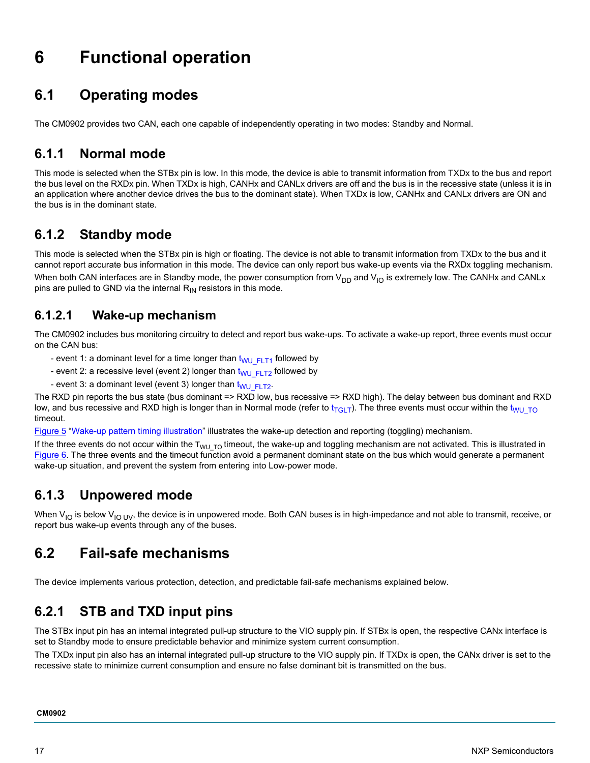# <span id="page-16-2"></span>**6 Functional operation**

# <span id="page-16-0"></span>**6.1 Operating modes**

The CM0902 provides two CAN, each one capable of independently operating in two modes: Standby and Normal.

### **6.1.1 Normal mode**

This mode is selected when the STBx pin is low. In this mode, the device is able to transmit information from TXDx to the bus and report the bus level on the RXDx pin. When TXDx is high, CANHx and CANLx drivers are off and the bus is in the recessive state (unless it is in an application where another device drives the bus to the dominant state). When TXDx is low, CANHx and CANLx drivers are ON and the bus is in the dominant state.

### **6.1.2 Standby mode**

This mode is selected when the STBx pin is high or floating. The device is not able to transmit information from TXDx to the bus and it cannot report accurate bus information in this mode. The device can only report bus wake-up events via the RXDx toggling mechanism.

When both CAN interfaces are in Standby mode, the power consumption from  $V_{DD}$  and  $V_{IO}$  is extremely low. The CANHx and CANLx pins are pulled to GND via the internal  $R_{IN}$  resistors in this mode.

### **6.1.2.1 Wake-up mechanism**

The CM0902 includes bus monitoring circuitry to detect and report bus wake-ups. To activate a wake-up report, three events must occur on the CAN bus:

- event 1: a dominant level for a time longer than  $t_{WU/FT1}$  followed by
- event 2: a recessive level (event 2) longer than  $t_{WU-FLT2}$  followed by
- event 3: a dominant level (event 3) longer than  $t_{WU-FLT2}$ .

The RXD pin reports the bus state (bus dominant => RXD low, bus recessive => RXD high). The delay between bus dominant and RXD low, and bus recessive and RXD high is longer than in Normal mode (refer to  $t_{TGLT}$ ). The three events must occur within the  $t_{WU-TO}$ timeout.

[Figure](#page-10-0) 5 ["Wake-up pattern timing illustration](#page-10-0)" illustrates the wake-up detection and reporting (toggling) mechanism.

If the three events do not occur within the  $T_{WU\ TO}$  timeout, the wake-up and toggling mechanism are not activated. This is illustrated in [Figure](#page-11-0) 6. The three events and the timeout function avoid a permanent dominant state on the bus which would generate a permanent wake-up situation, and prevent the system from entering into Low-power mode.

### **6.1.3 Unpowered mode**

When  $V_{IO}$  is below  $V_{IO}$  UV, the device is in unpowered mode. Both CAN buses is in high-impedance and not able to transmit, receive, or report bus wake-up events through any of the buses.

## <span id="page-16-1"></span>**6.2 Fail-safe mechanisms**

The device implements various protection, detection, and predictable fail-safe mechanisms explained below.

### **6.2.1 STB and TXD input pins**

The STBx input pin has an internal integrated pull-up structure to the VIO supply pin. If STBx is open, the respective CANx interface is set to Standby mode to ensure predictable behavior and minimize system current consumption.

The TXDx input pin also has an internal integrated pull-up structure to the VIO supply pin. If TXDx is open, the CANx driver is set to the recessive state to minimize current consumption and ensure no false dominant bit is transmitted on the bus.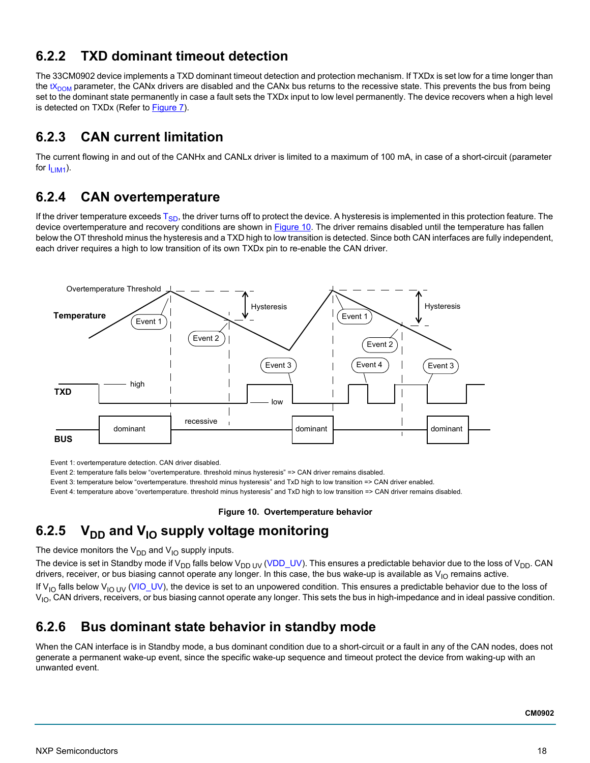### **6.2.2 TXD dominant timeout detection**

The 33CM0902 device implements a TXD dominant timeout detection and protection mechanism. If TXDx is set low for a time longer than the  $tX_{\text{DOM}}$  parameter, the CANx drivers are disabled and the CANx bus returns to the recessive state. This prevents the bus from being set to the dominant state permanently in case a fault sets the TXDx input to low level permanently. The device recovers when a high level is detected on TXDx (Refer to [Figure 7\)](#page-11-1).

### **6.2.3 CAN current limitation**

The current flowing in and out of the CANHx and CANLx driver is limited to a maximum of 100 mA, in case of a short-circuit (parameter for  $I_{LIM1}$ ).

### **6.2.4 CAN overtemperature**

If the driver temperature exceeds  $T_{SD}$ , the driver turns off to protect the device. A hysteresis is implemented in this protection feature. The device overtemperature and recovery conditions are shown in [Figure](#page-17-0) 10. The driver remains disabled until the temperature has fallen below the OT threshold minus the hysteresis and a TXD high to low transition is detected. Since both CAN interfaces are fully independent, each driver requires a high to low transition of its own TXDx pin to re-enable the CAN driver.



Event 1: overtemperature detection. CAN driver disabled.

Event 2: temperature falls below "overtemperature. threshold minus hysteresis" => CAN driver remains disabled.

Event 3: temperature below "overtemperature. threshold minus hysteresis" and TxD high to low transition => CAN driver enabled.

Event 4: temperature above "overtemperature. threshold minus hysteresis" and TxD high to low transition => CAN driver remains disabled.

#### **Figure 10. Overtemperature behavior**

## <span id="page-17-0"></span>6.2.5 V<sub>DD</sub> and V<sub>IO</sub> supply voltage monitoring

The device monitors the  $V_{DD}$  and  $V_{IO}$  supply inputs.

The device is set in Standby mode if V<sub>DD</sub> falls below V<sub>DD UV</sub> [\(VDD\\_UV\)](#page-12-2). This ensures a predictable behavior due to the loss of V<sub>DD</sub>. CAN drivers, receiver, or bus biasing cannot operate any longer. In this case, the bus wake-up is available as  $V_{10}$  remains active.

If V<sub>IO</sub> falls below V<sub>IO UV</sub> [\(VIO\\_UV](#page-12-3)), the device is set to an unpowered condition. This ensures a predictable behavior due to the loss of  $V_{\text{IO}}$ , CAN drivers, receivers, or bus biasing cannot operate any longer. This sets the bus in high-impedance and in ideal passive condition.

### **6.2.6 Bus dominant state behavior in standby mode**

When the CAN interface is in Standby mode, a bus dominant condition due to a short-circuit or a fault in any of the CAN nodes, does not generate a permanent wake-up event, since the specific wake-up sequence and timeout protect the device from waking-up with an unwanted event.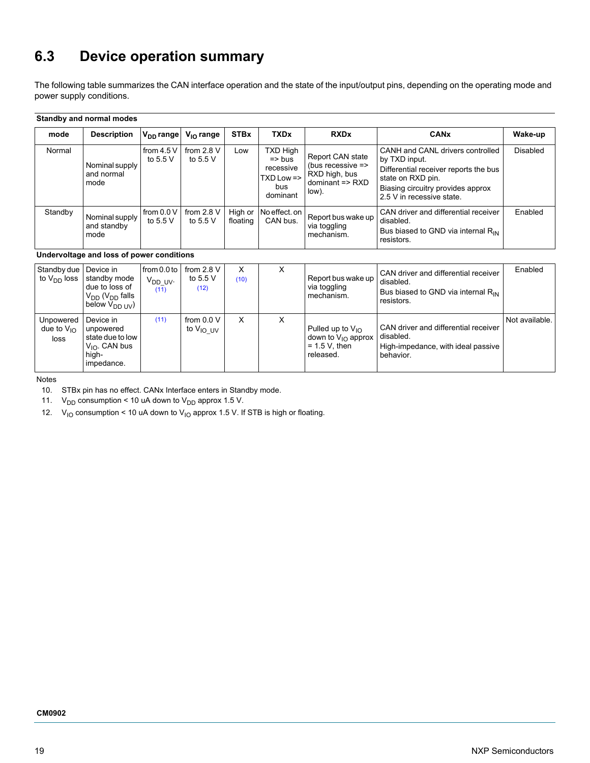# <span id="page-18-0"></span>**6.3 Device operation summary**

The following table summarizes the CAN interface operation and the state of the input/output pins, depending on the operating mode and power supply conditions.

#### **Standby and normal modes**

| mode    | <b>Description</b>                    | $V_{DD}$ range           | $V_{\text{IO}}$ range      | <b>STBx</b>         | <b>TXDx</b>                                                                              | <b>RXDx</b>                                                                                   | <b>CANx</b>                                                                                                                                                                       | Wake-up         |
|---------|---------------------------------------|--------------------------|----------------------------|---------------------|------------------------------------------------------------------------------------------|-----------------------------------------------------------------------------------------------|-----------------------------------------------------------------------------------------------------------------------------------------------------------------------------------|-----------------|
| Normal  | Nominal supply<br>and normal<br>mode  | from $4.5V$<br>to 5.5 V  | from $2.8$ V<br>to $5.5$ V | Low                 | TXD High<br>$\Rightarrow$ bus<br>recessive<br>$TXD$ Low $\Rightarrow$<br>bus<br>dominant | Report CAN state<br>(bus recessive $\Rightarrow$<br>RXD high, bus<br>dominant => RXD<br>low). | CANH and CANL drivers controlled<br>by TXD input.<br>Differential receiver reports the bus<br>state on RXD pin.<br>Biasing circuitry provides approx<br>2.5 V in recessive state. | <b>Disabled</b> |
| Standby | Nominal supply<br>and standby<br>mode | from 0.0 V<br>to $5.5$ V | from $2.8$ V<br>to $5.5$ V | High or<br>floating | No effect. on<br>CAN bus.                                                                | Report bus wake up<br>via toggling<br>mechanism.                                              | CAN driver and differential receiver<br>disabled.<br>Bus biased to GND via internal R <sub>IN</sub><br>resistors.                                                                 | Enabled         |

#### **Undervoltage and loss of power conditions**

| Standby due   Device in<br>to V <sub>DD</sub> loss | standby mode<br>due to loss of<br>$V_{DD}$ ( $V_{DD}$ falls<br>below $V_{DD+IV}$               | from $0.0$ to<br>V <sub>DD UV</sub> .<br>(11) | from $2.8$ V<br>to 5.5 $V$<br>(12) | X<br>(10) | ⋏ | Report bus wake up<br>via toggling<br>mechanism.                                  | CAN driver and differential receiver<br>disabled.<br>Bus biased to GND via internal R <sub>IN</sub><br>resistors. | Enabled        |
|----------------------------------------------------|------------------------------------------------------------------------------------------------|-----------------------------------------------|------------------------------------|-----------|---|-----------------------------------------------------------------------------------|-------------------------------------------------------------------------------------------------------------------|----------------|
| Unpowered<br>due to $V_{10}$<br>loss               | Device in<br>unpowered<br>state due to low<br>$V_{\text{IO}}$ . CAN bus<br>high-<br>impedance. | (11)                                          | from $0.0 V$<br>to $V_{IO}$ $UV$   | X         | х | Pulled up to $V_{10}$<br>down to $V_{10}$ approx<br>$= 1.5 V$ , then<br>released. | CAN driver and differential receiver<br>disabled.<br>High-impedance, with ideal passive<br>behavior.              | Not available. |

Notes

<span id="page-18-3"></span>10. STBx pin has no effect. CANx Interface enters in Standby mode.

<span id="page-18-1"></span>11.  $V_{DD}$  consumption < 10 uA down to  $V_{DD}$  approx 1.5 V.

<span id="page-18-2"></span>12.  $V_{10}$  consumption < 10 uA down to  $V_{10}$  approx 1.5 V. If STB is high or floating.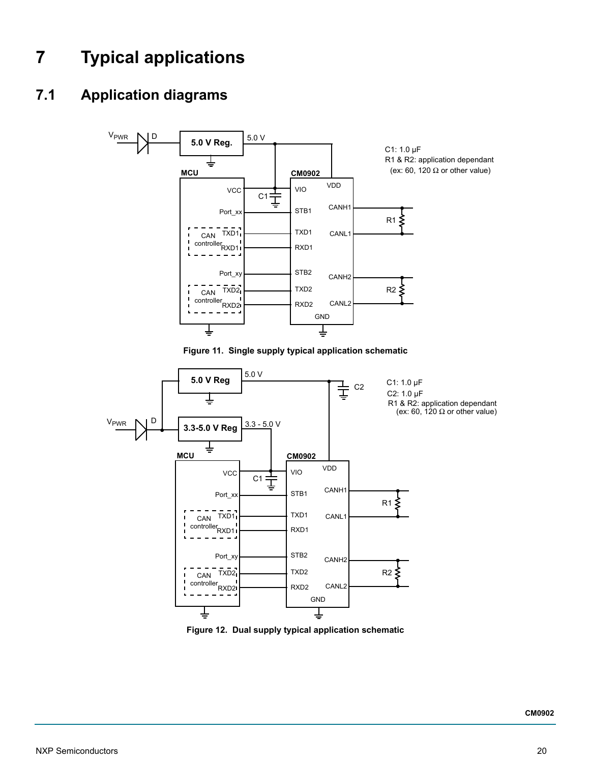# <span id="page-19-0"></span>**7 Typical applications**

# <span id="page-19-1"></span>**7.1 Application diagrams**



**Figure 12. Dual supply typical application schematic**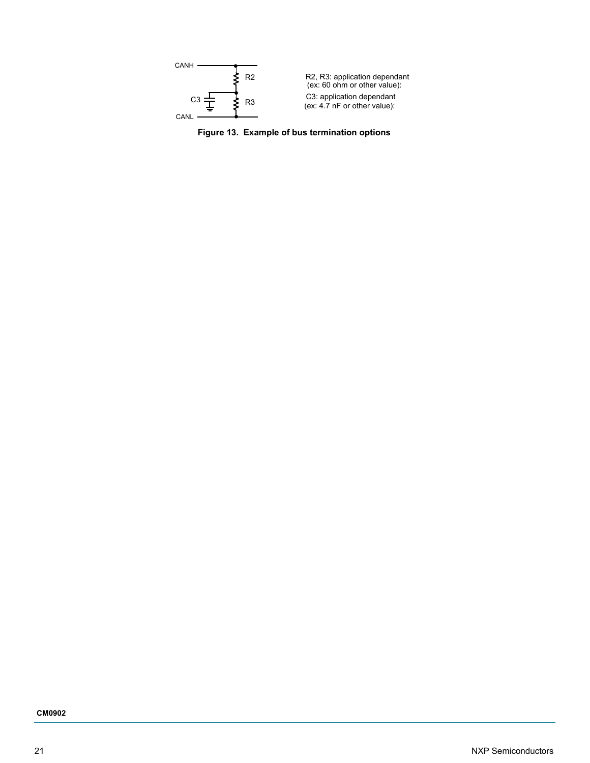

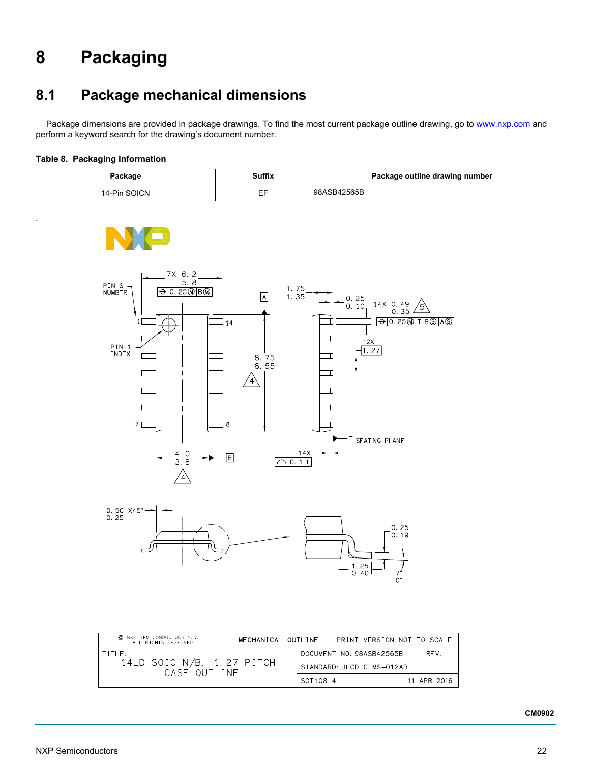# <span id="page-21-1"></span>**8 Packaging**

# <span id="page-21-0"></span>**8.1 Package mechanical dimensions**

Package dimensions are provided in package drawings. To find the most current package outline drawing, go to <www.nxp.com> and perform a keyword search for the drawing's document number.

### **Table 8. Packaging Information**

.

| Package      | Suffix | Package outline drawing number |  |  |
|--------------|--------|--------------------------------|--|--|
| 14-Pin SOICN | $ -$   | 98ASB42565B                    |  |  |







| C NXP SEMICONDUCTORS N.V.<br>ALL RIGHTS RESERVED | MECHANICAL OUTLINE |                          | PRINT VERSION NOT TO SCALE |             |
|--------------------------------------------------|--------------------|--------------------------|----------------------------|-------------|
| $T$ $T$ $T$ $F$ $t$                              |                    | DOCUMENT NO: 98ASB42565B | RFV: I                     |             |
| 14LD SOIC N/B, 1.27 PITCH<br>CASE-OUTLINE        |                    |                          | STANDARD: JECDEC MS-012AB  |             |
|                                                  |                    | SOT108-4                 |                            | 11 APR 2016 |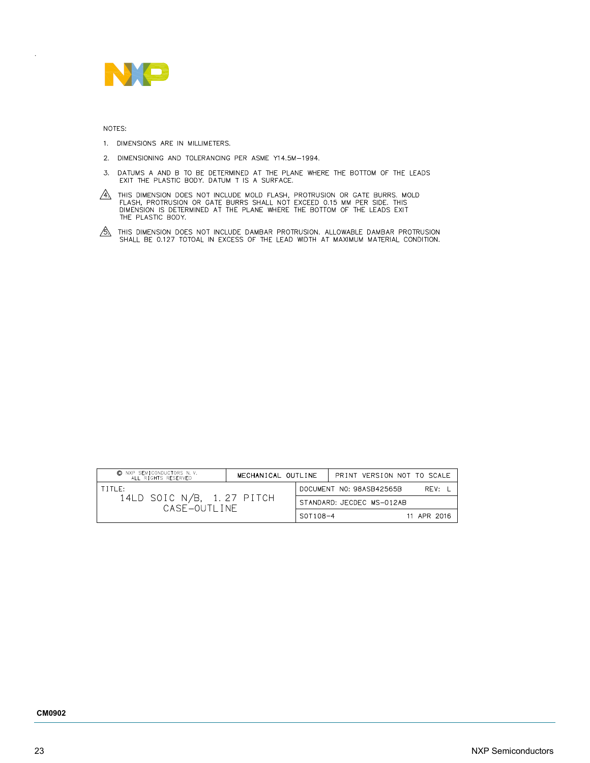

NOTES:

.

- 1. DIMENSIONS ARE IN MILLIMETERS.
- 2. DIMENSIONING AND TOLERANCING PER ASME Y14.5M-1994.
- DATUMS A AND B TO BE DETERMINED AT THE PLANE WHERE THE BOTTOM OF THE LEADS<br>EXIT THE PLASTIC BODY. DATUM T IS A SURFACE.  $3.$
- $\overbrace{A}$  this dimension does not include mold flash, protrusion or gate burrs. Mold flash, protrusion or gate burrs shall not exceed 0.15 mm per side. This dimension is determined at the plane where the bottom of the lead
- $\circ$  This dimension does not include dambar protrusion. Allowable dambar protrusion shall be 0.127 totoal in excess of the lead width at maximum material condition.

| C NXP SEMICONDUCTORS N.V.<br>ALL RIGHTS RESERVED | MECHANICAL OUTLINE |          | PRINT VERSION NOT TO SCALE |             |  |
|--------------------------------------------------|--------------------|----------|----------------------------|-------------|--|
| $T$ ITI $F$ :                                    |                    |          | DOCUMENT NO: 98ASB42565B   | RFV:        |  |
| 14LD SOIC N/B, 1.27 PITCH<br>CASE-OUTLINE        |                    |          | STANDARD: JECDEC MS-012AB  |             |  |
|                                                  |                    | S0T108-4 |                            | 11 APR 2016 |  |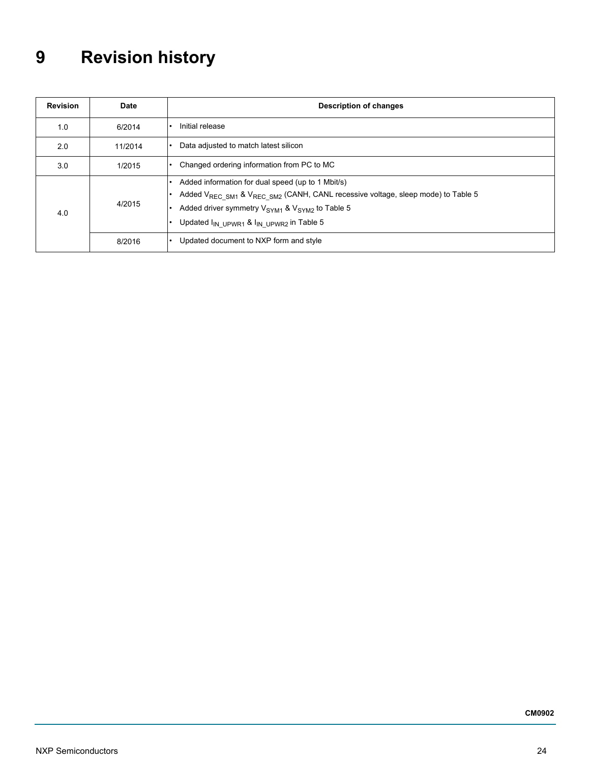# <span id="page-23-0"></span>**9 Revision history**

| <b>Revision</b> | Date    | <b>Description of changes</b>                                                                                                                                                                                                                                                                                           |
|-----------------|---------|-------------------------------------------------------------------------------------------------------------------------------------------------------------------------------------------------------------------------------------------------------------------------------------------------------------------------|
| 1.0             | 6/2014  | Initial release                                                                                                                                                                                                                                                                                                         |
| 2.0             | 11/2014 | Data adjusted to match latest silicon                                                                                                                                                                                                                                                                                   |
| 3.0             | 1/2015  | Changed ordering information from PC to MC                                                                                                                                                                                                                                                                              |
| 4.0             | 4/2015  | Added information for dual speed (up to 1 Mbit/s)<br>$\bullet$<br>Added V <sub>REC_SM1</sub> & V <sub>REC_SM2</sub> (CANH, CANL recessive voltage, sleep mode) to Table 5<br>Added driver symmetry $V_{\text{SYM1}}$ & $V_{\text{SYM2}}$ to Table 5<br>Updated I <sub>IN UPWR1</sub> & I <sub>IN UPWR2</sub> in Table 5 |
|                 | 8/2016  | Updated document to NXP form and style                                                                                                                                                                                                                                                                                  |